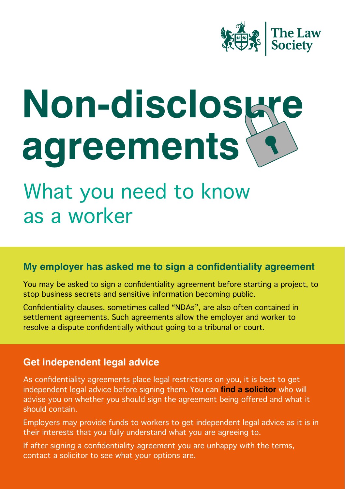

# **Non-disclosure agreements**

## What you need to know as a worker

#### **My employer has asked me to sign a confidentiality agreement**

You may be asked to sign a confidentiality agreement before starting a project, to stop business secrets and sensitive information becoming public.

Confidentiality clauses, sometimes called "NDAs", are also often contained in settlement agreements. Such agreements allow the employer and worker to resolve a dispute confidentially without going to a tribunal or court.

#### **Get independent legal advice**

As confidentiality agreements place legal restrictions on you, it is best to get independent legal advice before signing them. You can **[find a solicitor](https://solicitors.lawsociety.org.uk/)** who will advise you on whether you should sign the agreement being offered and what it should contain.

Employers may provide funds to workers to get independent legal advice as it is in their interests that you fully understand what you are agreeing to.

If after signing a confidentiality agreement you are unhappy with the terms, contact a solicitor to see what your options are.